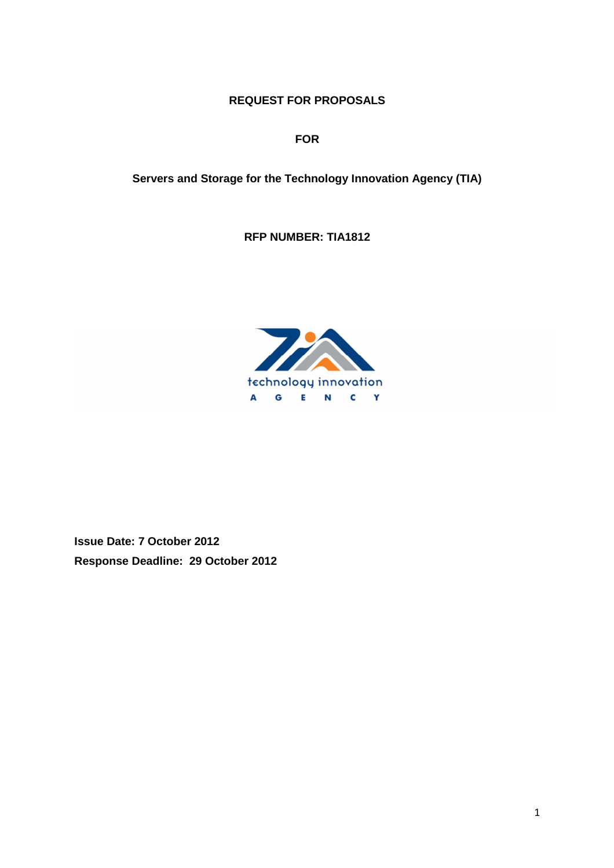### **REQUEST FOR PROPOSALS**

**FOR** 

**Servers and Storage for the Technology Innovation Agency (TIA)** 

**RFP NUMBER: TIA1812** 



**Issue Date: 7 October 2012 Response Deadline: 29 October 2012**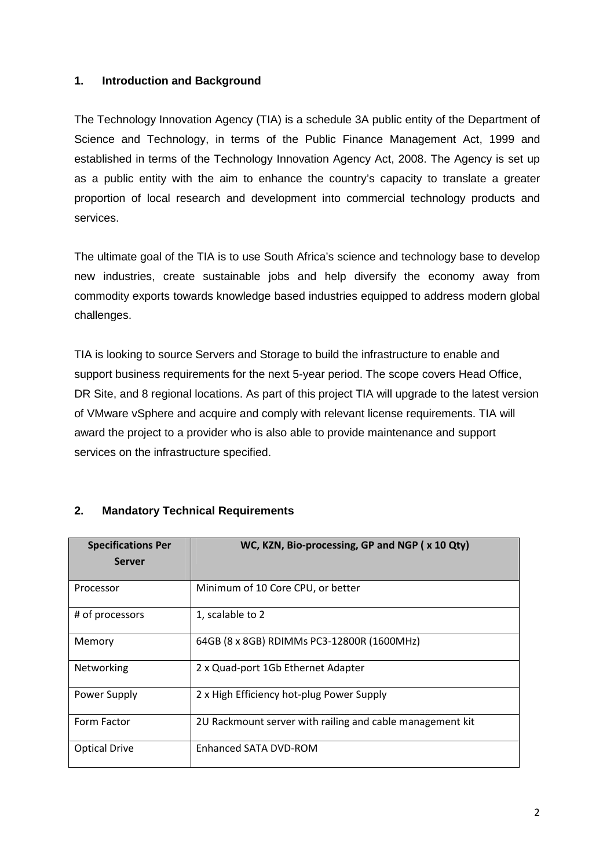### **1. Introduction and Background**

The Technology Innovation Agency (TIA) is a schedule 3A public entity of the Department of Science and Technology, in terms of the Public Finance Management Act, 1999 and established in terms of the Technology Innovation Agency Act, 2008. The Agency is set up as a public entity with the aim to enhance the country's capacity to translate a greater proportion of local research and development into commercial technology products and services.

The ultimate goal of the TIA is to use South Africa's science and technology base to develop new industries, create sustainable jobs and help diversify the economy away from commodity exports towards knowledge based industries equipped to address modern global challenges.

TIA is looking to source Servers and Storage to build the infrastructure to enable and support business requirements for the next 5-year period. The scope covers Head Office, DR Site, and 8 regional locations. As part of this project TIA will upgrade to the latest version of VMware vSphere and acquire and comply with relevant license requirements. TIA will award the project to a provider who is also able to provide maintenance and support services on the infrastructure specified.

| <b>Specifications Per</b><br><b>Server</b> | WC, KZN, Bio-processing, GP and NGP (x 10 Qty)            |
|--------------------------------------------|-----------------------------------------------------------|
| Processor                                  | Minimum of 10 Core CPU, or better                         |
|                                            |                                                           |
| # of processors                            | 1, scalable to 2                                          |
| Memory                                     | 64GB (8 x 8GB) RDIMMs PC3-12800R (1600MHz)                |
| Networking                                 | 2 x Quad-port 1Gb Ethernet Adapter                        |
| Power Supply                               | 2 x High Efficiency hot-plug Power Supply                 |
| Form Factor                                | 2U Rackmount server with railing and cable management kit |
| <b>Optical Drive</b>                       | Enhanced SATA DVD-ROM                                     |

# **2. Mandatory Technical Requirements**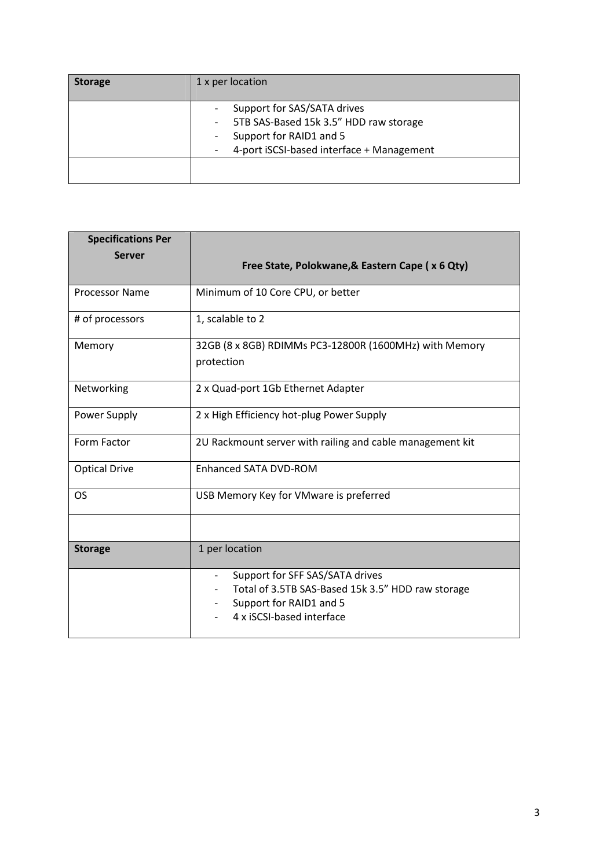| <b>Storage</b> | 1 x per location                                                                                                                                                                                                |  |  |  |  |
|----------------|-----------------------------------------------------------------------------------------------------------------------------------------------------------------------------------------------------------------|--|--|--|--|
|                | Support for SAS/SATA drives<br>5TB SAS-Based 15k 3.5" HDD raw storage<br>$\sim$<br>Support for RAID1 and 5<br>$\overline{\phantom{0}}$<br>4-port iSCSI-based interface + Management<br>$\overline{\phantom{0}}$ |  |  |  |  |
|                |                                                                                                                                                                                                                 |  |  |  |  |

| <b>Specifications Per</b> |                                                                                                                                                                   |  |  |  |  |
|---------------------------|-------------------------------------------------------------------------------------------------------------------------------------------------------------------|--|--|--|--|
| <b>Server</b>             | Free State, Polokwane, & Eastern Cape (x 6 Qty)                                                                                                                   |  |  |  |  |
| <b>Processor Name</b>     | Minimum of 10 Core CPU, or better                                                                                                                                 |  |  |  |  |
| # of processors           | 1, scalable to 2                                                                                                                                                  |  |  |  |  |
| Memory                    | 32GB (8 x 8GB) RDIMMs PC3-12800R (1600MHz) with Memory<br>protection                                                                                              |  |  |  |  |
| Networking                | 2 x Quad-port 1Gb Ethernet Adapter                                                                                                                                |  |  |  |  |
| Power Supply              | 2 x High Efficiency hot-plug Power Supply                                                                                                                         |  |  |  |  |
| Form Factor               | 2U Rackmount server with railing and cable management kit                                                                                                         |  |  |  |  |
| <b>Optical Drive</b>      | Enhanced SATA DVD-ROM                                                                                                                                             |  |  |  |  |
| OS                        | USB Memory Key for VMware is preferred                                                                                                                            |  |  |  |  |
|                           |                                                                                                                                                                   |  |  |  |  |
| <b>Storage</b>            | 1 per location                                                                                                                                                    |  |  |  |  |
|                           | Support for SFF SAS/SATA drives<br>$\qquad \qquad -$<br>Total of 3.5TB SAS-Based 15k 3.5" HDD raw storage<br>Support for RAID1 and 5<br>4 x iSCSI-based interface |  |  |  |  |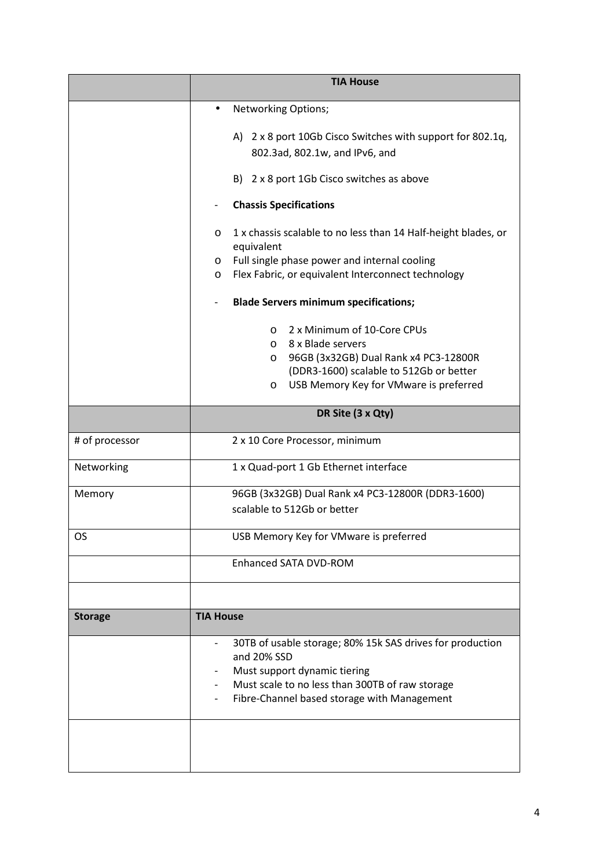|                | <b>TIA House</b>                                                                                                                                                                                                                                            |  |  |  |  |
|----------------|-------------------------------------------------------------------------------------------------------------------------------------------------------------------------------------------------------------------------------------------------------------|--|--|--|--|
|                | Networking Options;                                                                                                                                                                                                                                         |  |  |  |  |
|                | A) 2 x 8 port 10Gb Cisco Switches with support for 802.1q,<br>802.3ad, 802.1w, and IPv6, and                                                                                                                                                                |  |  |  |  |
|                | B) 2 x 8 port 1Gb Cisco switches as above                                                                                                                                                                                                                   |  |  |  |  |
|                | <b>Chassis Specifications</b>                                                                                                                                                                                                                               |  |  |  |  |
|                | 1 x chassis scalable to no less than 14 Half-height blades, or<br>O<br>equivalent<br>Full single phase power and internal cooling<br>$\circ$<br>Flex Fabric, or equivalent Interconnect technology<br>O                                                     |  |  |  |  |
|                | <b>Blade Servers minimum specifications;</b>                                                                                                                                                                                                                |  |  |  |  |
|                | 2 x Minimum of 10-Core CPUs<br>$\circ$<br>8 x Blade servers<br>$\circ$<br>96GB (3x32GB) Dual Rank x4 PC3-12800R<br>$\circ$<br>(DDR3-1600) scalable to 512Gb or better<br>USB Memory Key for VMware is preferred<br>$\circ$                                  |  |  |  |  |
|                | DR Site (3 x Qty)                                                                                                                                                                                                                                           |  |  |  |  |
| # of processor | 2 x 10 Core Processor, minimum                                                                                                                                                                                                                              |  |  |  |  |
| Networking     | 1 x Quad-port 1 Gb Ethernet interface                                                                                                                                                                                                                       |  |  |  |  |
| Memory         | 96GB (3x32GB) Dual Rank x4 PC3-12800R (DDR3-1600)<br>scalable to 512Gb or better                                                                                                                                                                            |  |  |  |  |
| OS.            | USB Memory Key for VMware is preferred                                                                                                                                                                                                                      |  |  |  |  |
|                | <b>Enhanced SATA DVD-ROM</b>                                                                                                                                                                                                                                |  |  |  |  |
|                |                                                                                                                                                                                                                                                             |  |  |  |  |
| <b>Storage</b> | <b>TIA House</b>                                                                                                                                                                                                                                            |  |  |  |  |
|                | 30TB of usable storage; 80% 15k SAS drives for production<br>and 20% SSD<br>Must support dynamic tiering<br>Must scale to no less than 300TB of raw storage<br>$\overline{\phantom{a}}$<br>Fibre-Channel based storage with Management<br>$\qquad \qquad -$ |  |  |  |  |
|                |                                                                                                                                                                                                                                                             |  |  |  |  |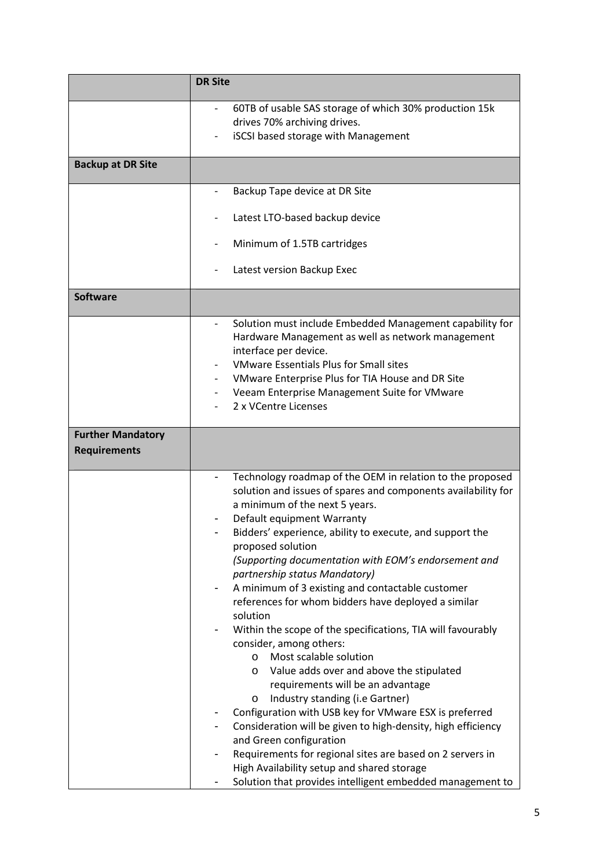|                                                 | <b>DR Site</b>                                                                                                                                                                                                                                                                                                                                                                                                                                                                                                                                                                                                                                                                                                                                                                                                                                                                                                                                                                                                                                                                                                              |
|-------------------------------------------------|-----------------------------------------------------------------------------------------------------------------------------------------------------------------------------------------------------------------------------------------------------------------------------------------------------------------------------------------------------------------------------------------------------------------------------------------------------------------------------------------------------------------------------------------------------------------------------------------------------------------------------------------------------------------------------------------------------------------------------------------------------------------------------------------------------------------------------------------------------------------------------------------------------------------------------------------------------------------------------------------------------------------------------------------------------------------------------------------------------------------------------|
|                                                 | 60TB of usable SAS storage of which 30% production 15k<br>drives 70% archiving drives.<br><b>iSCSI</b> based storage with Management                                                                                                                                                                                                                                                                                                                                                                                                                                                                                                                                                                                                                                                                                                                                                                                                                                                                                                                                                                                        |
| <b>Backup at DR Site</b>                        |                                                                                                                                                                                                                                                                                                                                                                                                                                                                                                                                                                                                                                                                                                                                                                                                                                                                                                                                                                                                                                                                                                                             |
|                                                 | Backup Tape device at DR Site                                                                                                                                                                                                                                                                                                                                                                                                                                                                                                                                                                                                                                                                                                                                                                                                                                                                                                                                                                                                                                                                                               |
|                                                 | Latest LTO-based backup device                                                                                                                                                                                                                                                                                                                                                                                                                                                                                                                                                                                                                                                                                                                                                                                                                                                                                                                                                                                                                                                                                              |
|                                                 | Minimum of 1.5TB cartridges                                                                                                                                                                                                                                                                                                                                                                                                                                                                                                                                                                                                                                                                                                                                                                                                                                                                                                                                                                                                                                                                                                 |
|                                                 | Latest version Backup Exec                                                                                                                                                                                                                                                                                                                                                                                                                                                                                                                                                                                                                                                                                                                                                                                                                                                                                                                                                                                                                                                                                                  |
| <b>Software</b>                                 |                                                                                                                                                                                                                                                                                                                                                                                                                                                                                                                                                                                                                                                                                                                                                                                                                                                                                                                                                                                                                                                                                                                             |
|                                                 | Solution must include Embedded Management capability for<br>Hardware Management as well as network management<br>interface per device.<br><b>VMware Essentials Plus for Small sites</b><br>VMware Enterprise Plus for TIA House and DR Site<br>Veeam Enterprise Management Suite for VMware<br>2 x VCentre Licenses                                                                                                                                                                                                                                                                                                                                                                                                                                                                                                                                                                                                                                                                                                                                                                                                         |
| <b>Further Mandatory</b><br><b>Requirements</b> |                                                                                                                                                                                                                                                                                                                                                                                                                                                                                                                                                                                                                                                                                                                                                                                                                                                                                                                                                                                                                                                                                                                             |
|                                                 | Technology roadmap of the OEM in relation to the proposed<br>$\qquad \qquad \blacksquare$<br>solution and issues of spares and components availability for<br>a minimum of the next 5 years.<br>Default equipment Warranty<br>Bidders' experience, ability to execute, and support the<br>proposed solution<br>(Supporting documentation with EOM's endorsement and<br>partnership status Mandatory)<br>A minimum of 3 existing and contactable customer<br>references for whom bidders have deployed a similar<br>solution<br>Within the scope of the specifications, TIA will favourably<br>consider, among others:<br>Most scalable solution<br>$\circ$<br>Value adds over and above the stipulated<br>$\circ$<br>requirements will be an advantage<br>Industry standing (i.e Gartner)<br>O<br>Configuration with USB key for VMware ESX is preferred<br>Consideration will be given to high-density, high efficiency<br>and Green configuration<br>Requirements for regional sites are based on 2 servers in<br>High Availability setup and shared storage<br>Solution that provides intelligent embedded management to |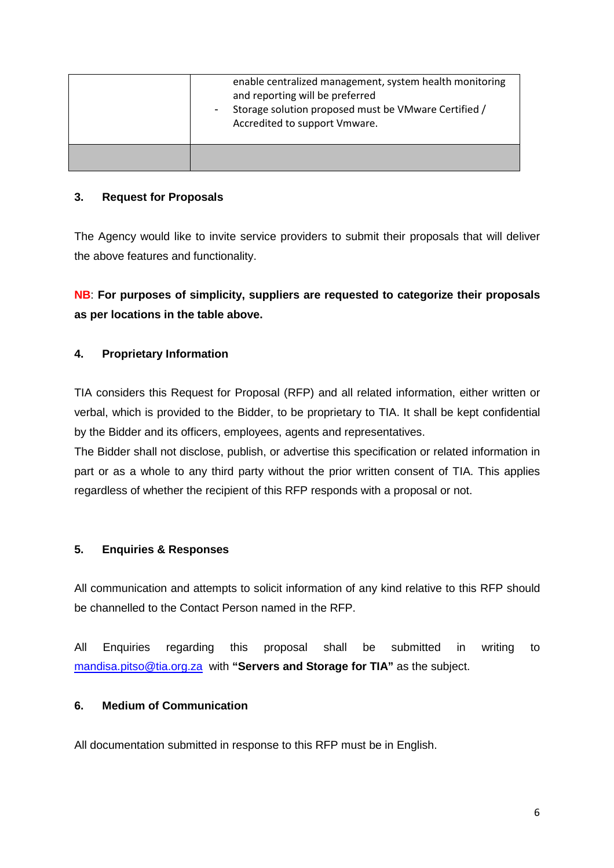| enable centralized management, system health monitoring<br>and reporting will be preferred<br>Storage solution proposed must be VMware Certified /<br>Accredited to support Vmware. |
|-------------------------------------------------------------------------------------------------------------------------------------------------------------------------------------|
|                                                                                                                                                                                     |

### **3. Request for Proposals**

The Agency would like to invite service providers to submit their proposals that will deliver the above features and functionality.

# **NB**: **For purposes of simplicity, suppliers are requested to categorize their proposals as per locations in the table above.**

# **4. Proprietary Information**

TIA considers this Request for Proposal (RFP) and all related information, either written or verbal, which is provided to the Bidder, to be proprietary to TIA. It shall be kept confidential by the Bidder and its officers, employees, agents and representatives.

The Bidder shall not disclose, publish, or advertise this specification or related information in part or as a whole to any third party without the prior written consent of TIA. This applies regardless of whether the recipient of this RFP responds with a proposal or not.

# **5. Enquiries & Responses**

All communication and attempts to solicit information of any kind relative to this RFP should be channelled to the Contact Person named in the RFP.

All Enquiries regarding this proposal shall be submitted in writing to mandisa.pitso@tia.org.za with **"Servers and Storage for TIA"** as the subject.

# **6. Medium of Communication**

All documentation submitted in response to this RFP must be in English.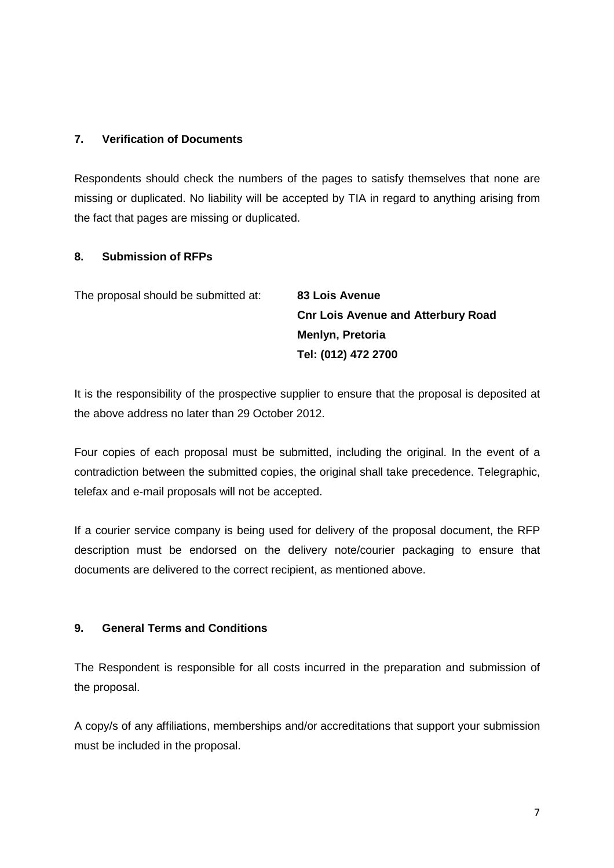#### **7. Verification of Documents**

Respondents should check the numbers of the pages to satisfy themselves that none are missing or duplicated. No liability will be accepted by TIA in regard to anything arising from the fact that pages are missing or duplicated.

#### **8. Submission of RFPs**

| The proposal should be submitted at: | <b>83 Lois Avenue</b>                     |
|--------------------------------------|-------------------------------------------|
|                                      | <b>Cnr Lois Avenue and Atterbury Road</b> |
|                                      | Menlyn, Pretoria                          |
|                                      | Tel: (012) 472 2700                       |

It is the responsibility of the prospective supplier to ensure that the proposal is deposited at the above address no later than 29 October 2012.

Four copies of each proposal must be submitted, including the original. In the event of a contradiction between the submitted copies, the original shall take precedence. Telegraphic, telefax and e-mail proposals will not be accepted.

If a courier service company is being used for delivery of the proposal document, the RFP description must be endorsed on the delivery note/courier packaging to ensure that documents are delivered to the correct recipient, as mentioned above.

#### **9. General Terms and Conditions**

The Respondent is responsible for all costs incurred in the preparation and submission of the proposal.

A copy/s of any affiliations, memberships and/or accreditations that support your submission must be included in the proposal.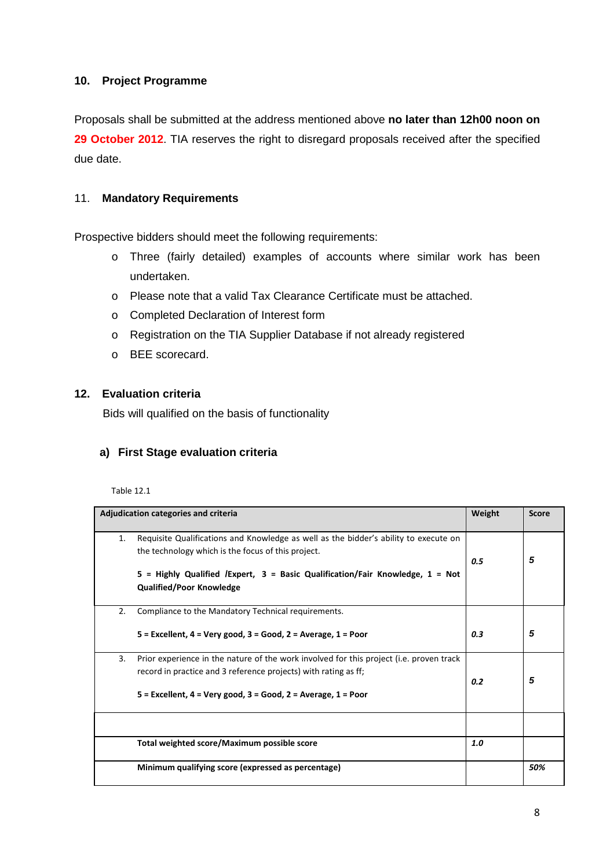# **10. Project Programme**

Proposals shall be submitted at the address mentioned above **no later than 12h00 noon on**  29 October 2012. TIA reserves the right to disregard proposals received after the specified due date.

### 11. **Mandatory Requirements**

Prospective bidders should meet the following requirements:

- o Three (fairly detailed) examples of accounts where similar work has been undertaken.
- o Please note that a valid Tax Clearance Certificate must be attached.
- o Completed Declaration of Interest form
- o Registration on the TIA Supplier Database if not already registered
- o BEE scorecard.

#### **12. Evaluation criteria**

Bids will qualified on the basis of functionality

#### **a) First Stage evaluation criteria**

Table 12.1

| Adjudication categories and criteria |                                                                                                                                                                                                                                                                  | Weight | <b>Score</b> |
|--------------------------------------|------------------------------------------------------------------------------------------------------------------------------------------------------------------------------------------------------------------------------------------------------------------|--------|--------------|
| 1.                                   | Requisite Qualifications and Knowledge as well as the bidder's ability to execute on<br>the technology which is the focus of this project.<br>$5$ = Highly Qualified /Expert, 3 = Basic Qualification/Fair Knowledge, 1 = Not<br><b>Qualified/Poor Knowledge</b> | 0.5    | 5            |
| 2.                                   | Compliance to the Mandatory Technical requirements.<br>$5$ = Excellent, 4 = Very good, 3 = Good, 2 = Average, 1 = Poor                                                                                                                                           | 0.3    | 5            |
| 3.                                   | Prior experience in the nature of the work involved for this project (i.e. proven track<br>record in practice and 3 reference projects) with rating as ff;<br>$5$ = Excellent, 4 = Very good, 3 = Good, 2 = Average, 1 = Poor                                    | 0.2    | 5            |
|                                      |                                                                                                                                                                                                                                                                  |        |              |
|                                      | Total weighted score/Maximum possible score                                                                                                                                                                                                                      | 1.0    |              |
|                                      | Minimum qualifying score (expressed as percentage)                                                                                                                                                                                                               |        | 50%          |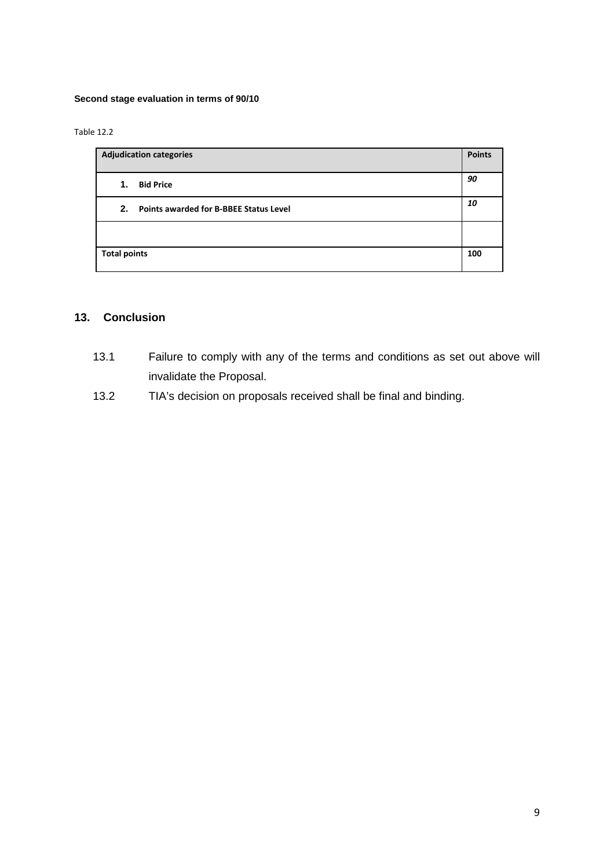#### **Second stage evaluation in terms of 90/10**

Table 12.2

| <b>Adjudication categories</b>               | <b>Points</b> |
|----------------------------------------------|---------------|
| <b>Bid Price</b><br>1.                       | 90            |
| Points awarded for B-BBEE Status Level<br>2. | 10            |
|                                              |               |
| <b>Total points</b>                          | 100           |

# **13. Conclusion**

- 13.1 Failure to comply with any of the terms and conditions as set out above will invalidate the Proposal.
- 13.2 TIA's decision on proposals received shall be final and binding.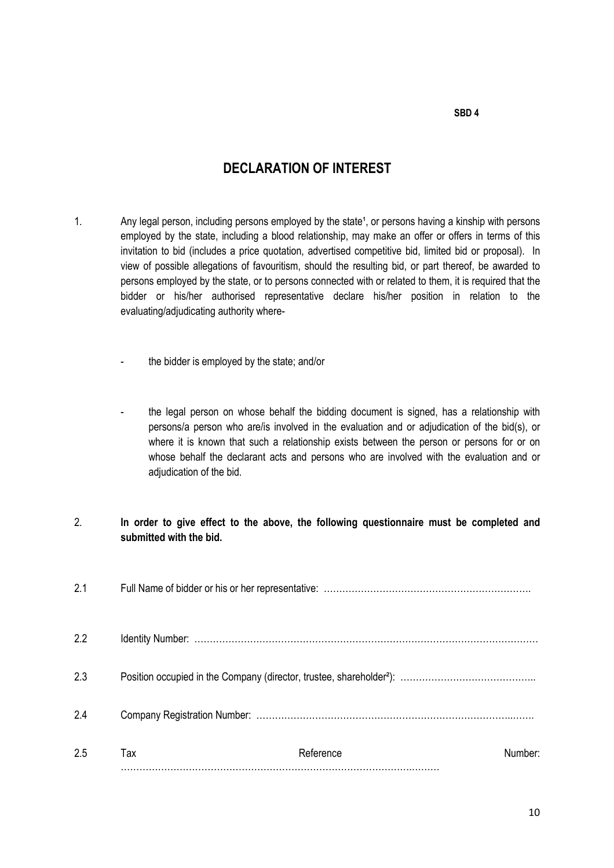#### **SBD 4**

# **DECLARATION OF INTEREST**

- 1. Any legal person, including persons employed by the state<sup>1</sup>, or persons having a kinship with persons employed by the state, including a blood relationship, may make an offer or offers in terms of this invitation to bid (includes a price quotation, advertised competitive bid, limited bid or proposal). In view of possible allegations of favouritism, should the resulting bid, or part thereof, be awarded to persons employed by the state, or to persons connected with or related to them, it is required that the bidder or his/her authorised representative declare his/her position in relation to the evaluating/adjudicating authority where
	- the bidder is employed by the state; and/or
	- the legal person on whose behalf the bidding document is signed, has a relationship with persons/a person who are/is involved in the evaluation and or adjudication of the bid(s), or where it is known that such a relationship exists between the person or persons for or on whose behalf the declarant acts and persons who are involved with the evaluation and or adjudication of the bid.

#### 2. **In order to give effect to the above, the following questionnaire must be completed and submitted with the bid.**

| 2.1 |     |           |         |
|-----|-----|-----------|---------|
| 2.2 |     |           |         |
| 2.3 |     |           |         |
| 2.4 |     |           |         |
| 2.5 | Tax | Reference | Number: |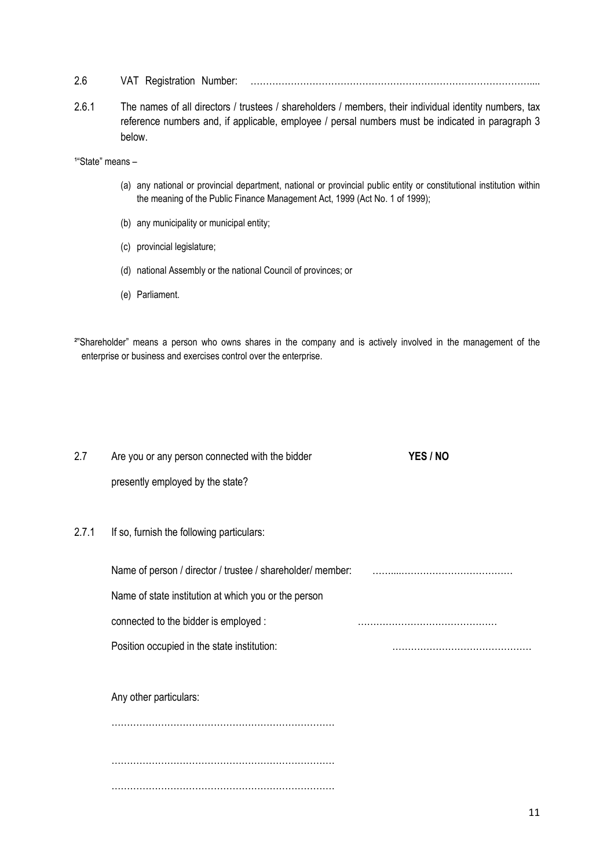- 2.6 VAT Registration Number: ………………………………………………………………………………....
- 2.6.1 The names of all directors / trustees / shareholders / members, their individual identity numbers, tax reference numbers and, if applicable, employee / persal numbers must be indicated in paragraph 3 below.

<sup>1</sup>"State" means -

- (a) any national or provincial department, national or provincial public entity or constitutional institution within the meaning of the Public Finance Management Act, 1999 (Act No. 1 of 1999);
- (b) any municipality or municipal entity;
- (c) provincial legislature;
- (d) national Assembly or the national Council of provinces; or
- (e) Parliament.
- <sup>2</sup>"Shareholder" means a person who owns shares in the company and is actively involved in the management of the enterprise or business and exercises control over the enterprise.

2.7 Are you or any person connected with the bidder **YES / NO**  presently employed by the state? 2.7.1 If so, furnish the following particulars: Name of person / director / trustee / shareholder/ member: ……………………………………………………… Name of state institution at which you or the person connected to the bidder is employed : ……………………………………… Position occupied in the state institution: many many manufacture is a set of the state institution: Any other particulars: ………………………………………………………………

………………………………………………………………

………………………………………………………………

11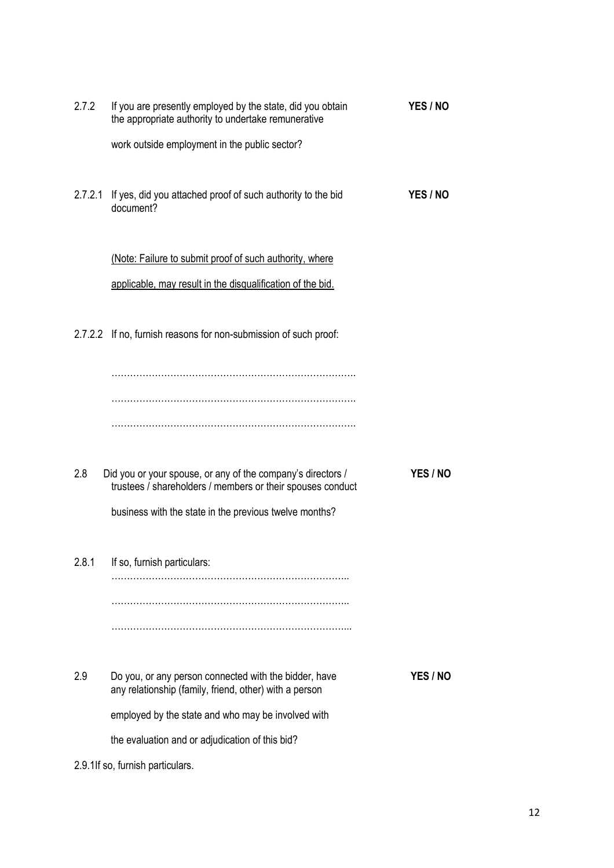| 2.7.2                            | If you are presently employed by the state, did you obtain<br>the appropriate authority to undertake remunerative         | YES / NO |  |
|----------------------------------|---------------------------------------------------------------------------------------------------------------------------|----------|--|
|                                  | work outside employment in the public sector?                                                                             |          |  |
| 2.7.2.1                          | If yes, did you attached proof of such authority to the bid<br>document?                                                  | YES / NO |  |
|                                  | (Note: Failure to submit proof of such authority, where                                                                   |          |  |
|                                  | applicable, may result in the disqualification of the bid.                                                                |          |  |
|                                  | 2.7.2.2 If no, furnish reasons for non-submission of such proof:                                                          |          |  |
|                                  |                                                                                                                           |          |  |
|                                  |                                                                                                                           |          |  |
|                                  |                                                                                                                           |          |  |
| 2.8                              | Did you or your spouse, or any of the company's directors /<br>trustees / shareholders / members or their spouses conduct | YES / NO |  |
|                                  | business with the state in the previous twelve months?                                                                    |          |  |
| 2.8.1                            | If so, furnish particulars:                                                                                               |          |  |
|                                  |                                                                                                                           |          |  |
|                                  |                                                                                                                           |          |  |
| 2.9                              | Do you, or any person connected with the bidder, have<br>any relationship (family, friend, other) with a person           | YES / NO |  |
|                                  | employed by the state and who may be involved with                                                                        |          |  |
|                                  | the evaluation and or adjudication of this bid?                                                                           |          |  |
| 2.9.1If so, furnish particulars. |                                                                                                                           |          |  |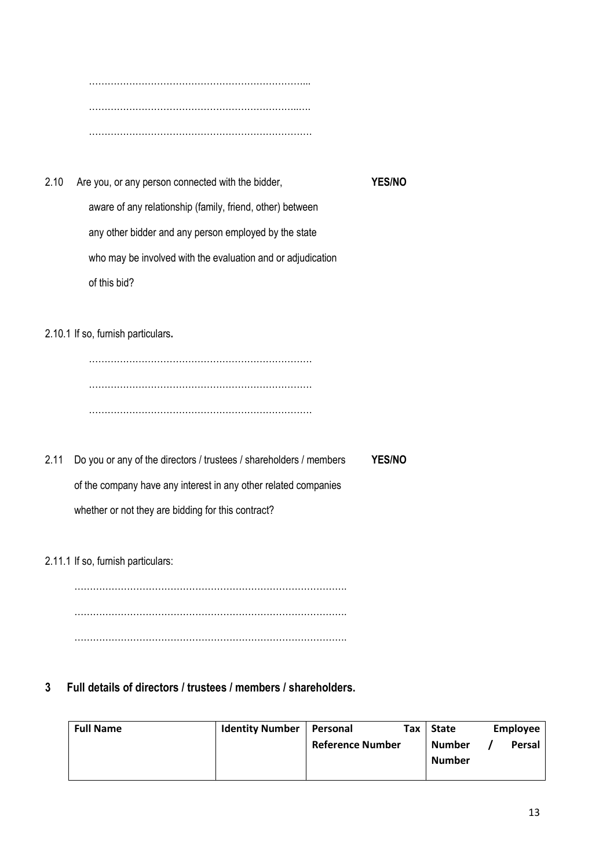……………………………………………………………... …………………………………………………………..…. ………………………………………………………………

2.10 Are you, or any person connected with the bidder, **YES/NO** aware of any relationship (family, friend, other) between any other bidder and any person employed by the state who may be involved with the evaluation and or adjudication of this bid?

2.10.1 If so, furnish particulars**.** 

……………………………………………………………… ……………………………………………………………… ………………………………………………………………

2.11 Do you or any of the directors / trustees / shareholders / members **YES/NO** of the company have any interest in any other related companies whether or not they are bidding for this contract?

2.11.1 If so, furnish particulars:

……………………………………………………………………………. ……………………………………………………………………………. …………………………………………………………………………….

**3 Full details of directors / trustees / members / shareholders.** 

| <b>Full Name</b> | <b>Identity Number</b> | Personal                | тах г | State         | <b>Employee</b> |
|------------------|------------------------|-------------------------|-------|---------------|-----------------|
|                  |                        | <b>Reference Number</b> |       | Number        | <b>Persal</b>   |
|                  |                        |                         |       | <b>Number</b> |                 |
|                  |                        |                         |       |               |                 |